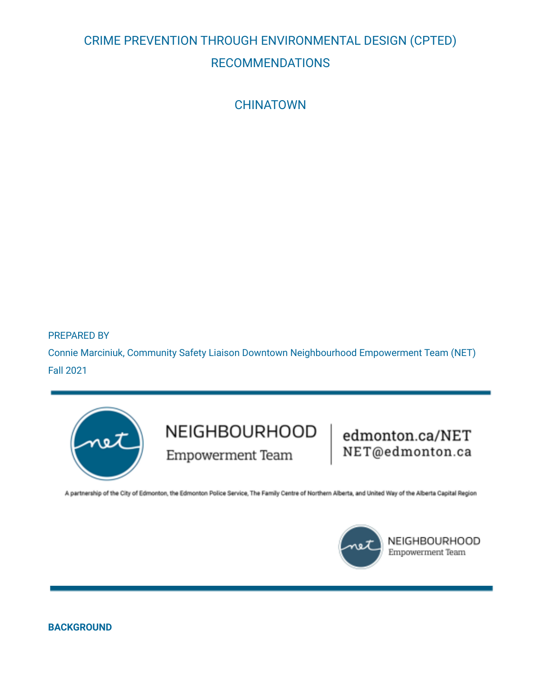# CRIME PREVENTION THROUGH ENVIRONMENTAL DESIGN (CPTED) RECOMMENDATIONS

**CHINATOWN** 

PREPARED BY

Connie Marciniuk, Community Safety Liaison Downtown Neighbourhood Empowerment Team (NET) Fall 2021



A partnership of the City of Edmonton, the Edmonton Police Service, The Family Centre of Northern Alberta, and United Way of the Alberta Capital Region



**BACKGROUND**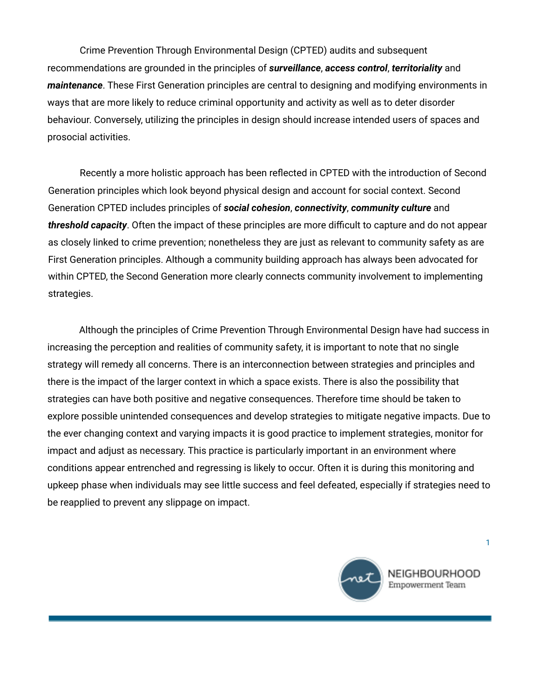Crime Prevention Through Environmental Design (CPTED) audits and subsequent recommendations are grounded in the principles of *surveillance*, *access control*, *territoriality* and *maintenance*. These First Generation principles are central to designing and modifying environments in ways that are more likely to reduce criminal opportunity and activity as well as to deter disorder behaviour. Conversely, utilizing the principles in design should increase intended users of spaces and prosocial activities.

Recently a more holistic approach has been reflected in CPTED with the introduction of Second Generation principles which look beyond physical design and account for social context. Second Generation CPTED includes principles of *social cohesion*, *connectivity*, *community culture* and *threshold capacity*. Often the impact of these principles are more difficult to capture and do not appear as closely linked to crime prevention; nonetheless they are just as relevant to community safety as are First Generation principles. Although a community building approach has always been advocated for within CPTED, the Second Generation more clearly connects community involvement to implementing strategies.

Although the principles of Crime Prevention Through Environmental Design have had success in increasing the perception and realities of community safety, it is important to note that no single strategy will remedy all concerns. There is an interconnection between strategies and principles and there is the impact of the larger context in which a space exists. There is also the possibility that strategies can have both positive and negative consequences. Therefore time should be taken to explore possible unintended consequences and develop strategies to mitigate negative impacts. Due to the ever changing context and varying impacts it is good practice to implement strategies, monitor for impact and adjust as necessary. This practice is particularly important in an environment where conditions appear entrenched and regressing is likely to occur. Often it is during this monitoring and upkeep phase when individuals may see little success and feel defeated, especially if strategies need to be reapplied to prevent any slippage on impact.



NEIGHBOURHOOD Empowerment Team

1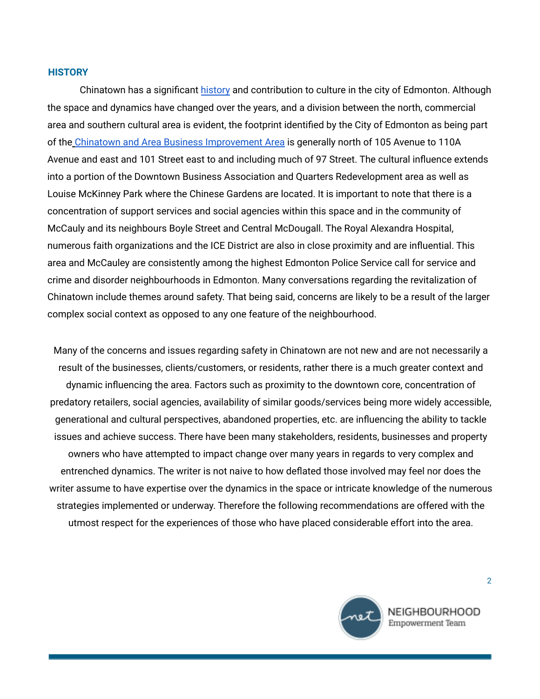### **HISTORY**

Chinatown has a significant history and contribution to culture in the city of Edmonton. Although the space and dynamics have changed over the years, and a division between the north, commercial area and southern cultural area is evident, the footprint identified by the City of Edmonton as being part of the Chinatown and Area Business Improvement Area is generally north of 105 Avenue to 110A Avenue and east and 101 Street east to and including much of 97 Street. The cultural influence extends into a portion of the Downtown Business Association and Quarters Redevelopment area as well as Louise McKinney Park where the Chinese Gardens are located. It is important to note that there is a concentration of support services and social agencies within this space and in the community of McCauly and its neighbours Boyle Street and Central McDougall. The Royal Alexandra Hospital, numerous faith organizations and the ICE District are also in close proximity and are influential. This area and McCauley are consistently among the highest Edmonton Police Service call for service and crime and disorder neighbourhoods in Edmonton. Many conversations regarding the revitalization of Chinatown include themes around safety. That being said, concerns are likely to be a result of the larger complex social context as opposed to any one feature of the neighbourhood.

Many of the concerns and issues regarding safety in Chinatown are not new and are not necessarily a result of the businesses, clients/customers, or residents, rather there is a much greater context and dynamic influencing the area. Factors such as proximity to the downtown core, concentration of predatory retailers, social agencies, availability of similar goods/services being more widely accessible, generational and cultural perspectives, abandoned properties, etc. are influencing the ability to tackle issues and achieve success. There have been many stakeholders, residents, businesses and property owners who have attempted to impact change over many years in regards to very complex and entrenched dynamics. The writer is not naive to how deflated those involved may feel nor does the writer assume to have expertise over the dynamics in the space or intricate knowledge of the numerous strategies implemented or underway. Therefore the following recommendations are offered with the utmost respect for the experiences of those who have placed considerable effort into the area.



NEIGHBOURHOOD Empowerment Team

 $\mathfrak{p}$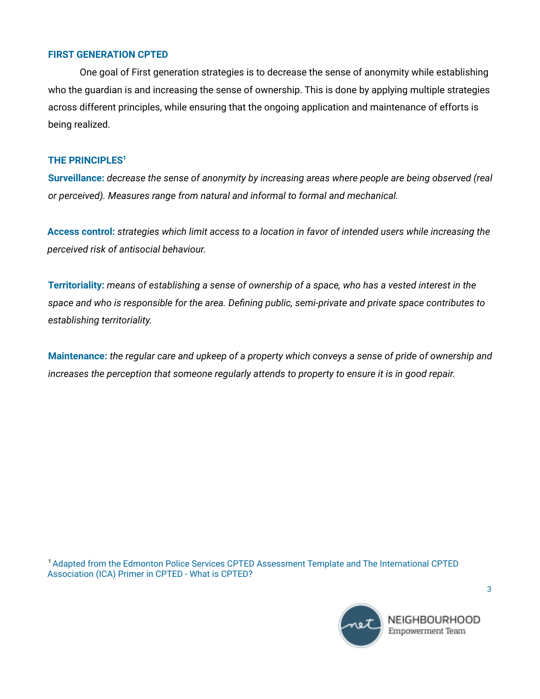# **FIRST GENERATION CPTED**

One goal of First generation strategies is to decrease the sense of anonymity while establishing who the guardian is and increasing the sense of ownership. This is done by applying multiple strategies across different principles, while ensuring that the ongoing application and maintenance of efforts is being realized.

# **THE PRINCIPLES 1**

**Surveillance:** *decrease the sense of anonymity by increasing areas where people are being observed (real or perceived). Measures range from natural and informal to formal and mechanical.*

Access control: strategies which limit access to a location in favor of intended users while increasing the *perceived risk of antisocial behaviour.*

Territoriality: means of establishing a sense of ownership of a space, who has a vested interest in the *space and who is responsible for the area. Defining public, semi-private and private space contributes to establishing territoriality.*

Maintenance: the regular care and upkeep of a property which conveys a sense of pride of ownership and *increases the perception that someone regularly attends to property to ensure it is in good repair.*

<sup>1</sup> Adapted from the Edmonton Police Services CPTED Assessment Template and The International CPTED Association (ICA) Primer in CPTED - What is CPTED?

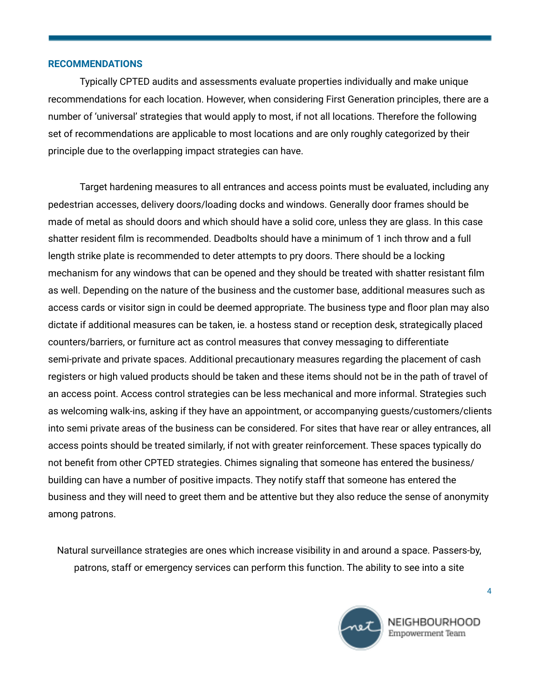# **RECOMMENDATIONS**

Typically CPTED audits and assessments evaluate properties individually and make unique recommendations for each location. However, when considering First Generation principles, there are a number of 'universal' strategies that would apply to most, if not all locations. Therefore the following set of recommendations are applicable to most locations and are only roughly categorized by their principle due to the overlapping impact strategies can have.

Target hardening measures to all entrances and access points must be evaluated, including any pedestrian accesses, delivery doors/loading docks and windows. Generally door frames should be made of metal as should doors and which should have a solid core, unless they are glass. In this case shatter resident film is recommended. Deadbolts should have a minimum of 1 inch throw and a full length strike plate is recommended to deter attempts to pry doors. There should be a locking mechanism for any windows that can be opened and they should be treated with shatter resistant film as well. Depending on the nature of the business and the customer base, additional measures such as access cards or visitor sign in could be deemed appropriate. The business type and floor plan may also dictate if additional measures can be taken, ie. a hostess stand or reception desk, strategically placed counters/barriers, or furniture act as control measures that convey messaging to differentiate semi-private and private spaces. Additional precautionary measures regarding the placement of cash registers or high valued products should be taken and these items should not be in the path of travel of an access point. Access control strategies can be less mechanical and more informal. Strategies such as welcoming walk-ins, asking if they have an appointment, or accompanying guests/customers/clients into semi private areas of the business can be considered. For sites that have rear or alley entrances, all access points should be treated similarly, if not with greater reinforcement. These spaces typically do not benefit from other CPTED strategies. Chimes signaling that someone has entered the business/ building can have a number of positive impacts. They notify staff that someone has entered the business and they will need to greet them and be attentive but they also reduce the sense of anonymity among patrons.

Natural surveillance strategies are ones which increase visibility in and around a space. Passers-by, patrons, staff or emergency services can perform this function. The ability to see into a site



NEIGHBOURHOOD Empowerment Team

4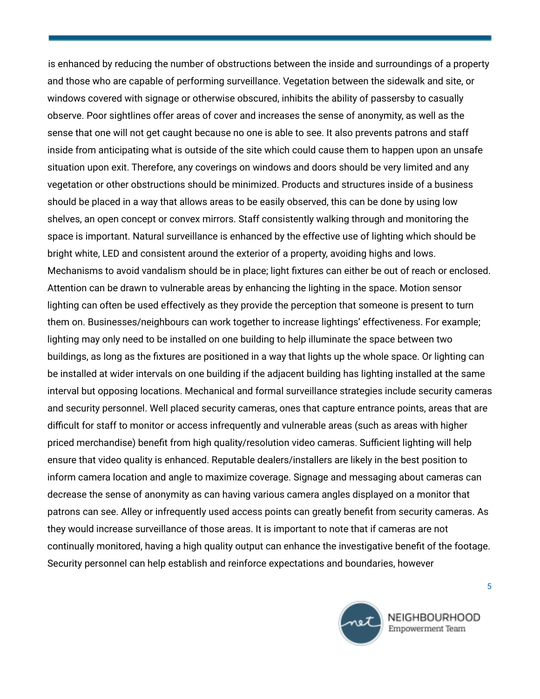is enhanced by reducing the number of obstructions between the inside and surroundings of a property and those who are capable of performing surveillance. Vegetation between the sidewalk and site, or windows covered with signage or otherwise obscured, inhibits the ability of passersby to casually observe. Poor sightlines offer areas of cover and increases the sense of anonymity, as well as the sense that one will not get caught because no one is able to see. It also prevents patrons and staff inside from anticipating what is outside of the site which could cause them to happen upon an unsafe situation upon exit. Therefore, any coverings on windows and doors should be very limited and any vegetation or other obstructions should be minimized. Products and structures inside of a business should be placed in a way that allows areas to be easily observed, this can be done by using low shelves, an open concept or convex mirrors. Staff consistently walking through and monitoring the space is important. Natural surveillance is enhanced by the effective use of lighting which should be bright white, LED and consistent around the exterior of a property, avoiding highs and lows. Mechanisms to avoid vandalism should be in place; light fixtures can either be out of reach or enclosed. Attention can be drawn to vulnerable areas by enhancing the lighting in the space. Motion sensor lighting can often be used effectively as they provide the perception that someone is present to turn them on. Businesses/neighbours can work together to increase lightings' effectiveness. For example; lighting may only need to be installed on one building to help illuminate the space between two buildings, as long as the fixtures are positioned in a way that lights up the whole space. Or lighting can be installed at wider intervals on one building if the adjacent building has lighting installed at the same interval but opposing locations. Mechanical and formal surveillance strategies include security cameras and security personnel. Well placed security cameras, ones that capture entrance points, areas that are difficult for staff to monitor or access infrequently and vulnerable areas (such as areas with higher priced merchandise) benefit from high quality/resolution video cameras. Sufficient lighting will help ensure that video quality is enhanced. Reputable dealers/installers are likely in the best position to inform camera location and angle to maximize coverage. Signage and messaging about cameras can decrease the sense of anonymity as can having various camera angles displayed on a monitor that patrons can see. Alley or infrequently used access points can greatly benefit from security cameras. As they would increase surveillance of those areas. It is important to note that if cameras are not continually monitored, having a high quality output can enhance the investigative benefit of the footage. Security personnel can help establish and reinforce expectations and boundaries, however



NEIGHBOURHOOD Empowerment Team

5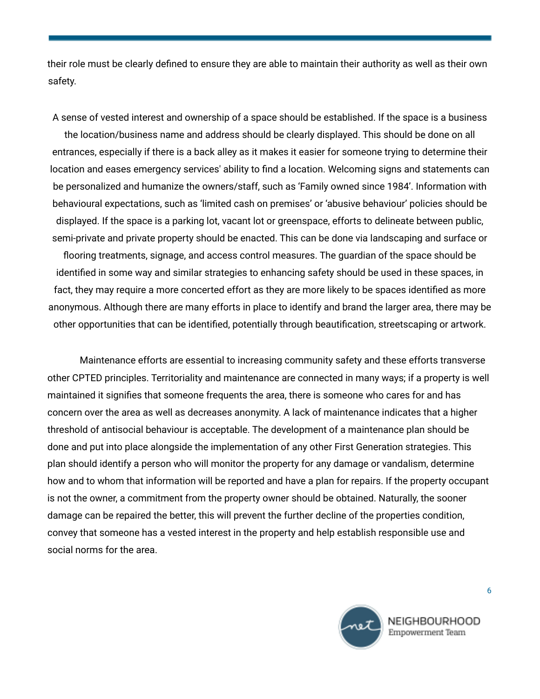their role must be clearly defined to ensure they are able to maintain their authority as well as their own safety.

A sense of vested interest and ownership of a space should be established. If the space is a business

the location/business name and address should be clearly displayed. This should be done on all entrances, especially if there is a back alley as it makes it easier for someone trying to determine their location and eases emergency services' ability to find a location. Welcoming signs and statements can be personalized and humanize the owners/staff, such as 'Family owned since 1984'. Information with behavioural expectations, such as 'limited cash on premises' or 'abusive behaviour' policies should be displayed. If the space is a parking lot, vacant lot or greenspace, efforts to delineate between public, semi-private and private property should be enacted. This can be done via landscaping and surface or

flooring treatments, signage, and access control measures. The guardian of the space should be identified in some way and similar strategies to enhancing safety should be used in these spaces, in fact, they may require a more concerted effort as they are more likely to be spaces identified as more anonymous. Although there are many efforts in place to identify and brand the larger area, there may be other opportunities that can be identified, potentially through beautification, streetscaping or artwork.

Maintenance efforts are essential to increasing community safety and these efforts transverse other CPTED principles. Territoriality and maintenance are connected in many ways; if a property is well maintained it signifies that someone frequents the area, there is someone who cares for and has concern over the area as well as decreases anonymity. A lack of maintenance indicates that a higher threshold of antisocial behaviour is acceptable. The development of a maintenance plan should be done and put into place alongside the implementation of any other First Generation strategies. This plan should identify a person who will monitor the property for any damage or vandalism, determine how and to whom that information will be reported and have a plan for repairs. If the property occupant is not the owner, a commitment from the property owner should be obtained. Naturally, the sooner damage can be repaired the better, this will prevent the further decline of the properties condition, convey that someone has a vested interest in the property and help establish responsible use and social norms for the area.

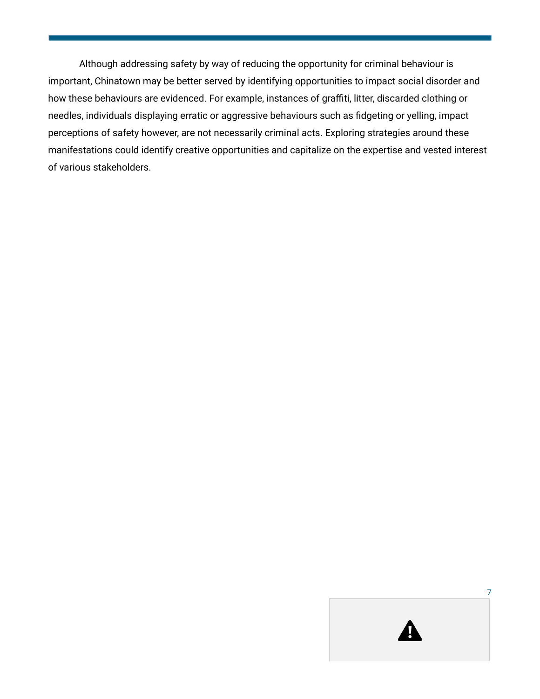Although addressing safety by way of reducing the opportunity for criminal behaviour is important, Chinatown may be better served by identifying opportunities to impact social disorder and how these behaviours are evidenced. For example, instances of graffiti, litter, discarded clothing or needles, individuals displaying erratic or aggressive behaviours such as fidgeting or yelling, impact perceptions of safety however, are not necessarily criminal acts. Exploring strategies around these manifestations could identify creative opportunities and capitalize on the expertise and vested interest of various stakeholders.

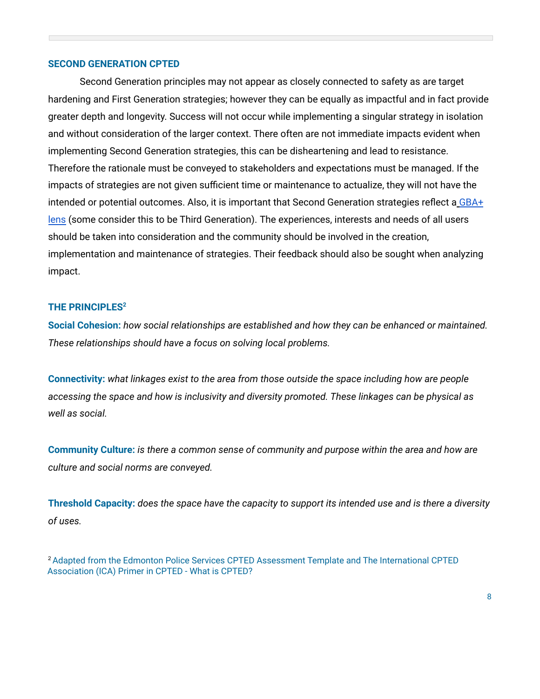# **SECOND GENERATION CPTED**

Second Generation principles may not appear as closely connected to safety as are target hardening and First Generation strategies; however they can be equally as impactful and in fact provide greater depth and longevity. Success will not occur while implementing a singular strategy in isolation and without consideration of the larger context. There often are not immediate impacts evident when implementing Second Generation strategies, this can be disheartening and lead to resistance. Therefore the rationale must be conveyed to stakeholders and expectations must be managed. If the impacts of strategies are not given sufficient time or maintenance to actualize, they will not have the intended or potential outcomes. Also, it is important that Second Generation strategies reflect a GBA+ lens (some consider this to be Third Generation). The experiences, interests and needs of all users should be taken into consideration and the community should be involved in the creation, implementation and maintenance of strategies. Their feedback should also be sought when analyzing impact.

# **THE PRINCIPLES 2**

**Social Cohesion:** *how social relationships are established and how they can be enhanced or maintained. These relationships should have a focus on solving local problems.*

**Connectivity:** *what linkages exist to the area from those outside the space including how are people accessing the space and how is inclusivity and diversity promoted. These linkages can be physical as well as social.*

**Community Culture:** *is there a common sense of community and purpose within the area and how are culture and social norms are conveyed.*

Threshold Capacity: does the space have the capacity to support its intended use and is there a diversity *of uses.*

<sup>2</sup> Adapted from the Edmonton Police Services CPTED Assessment Template and The International CPTED Association (ICA) Primer in CPTED - What is CPTED?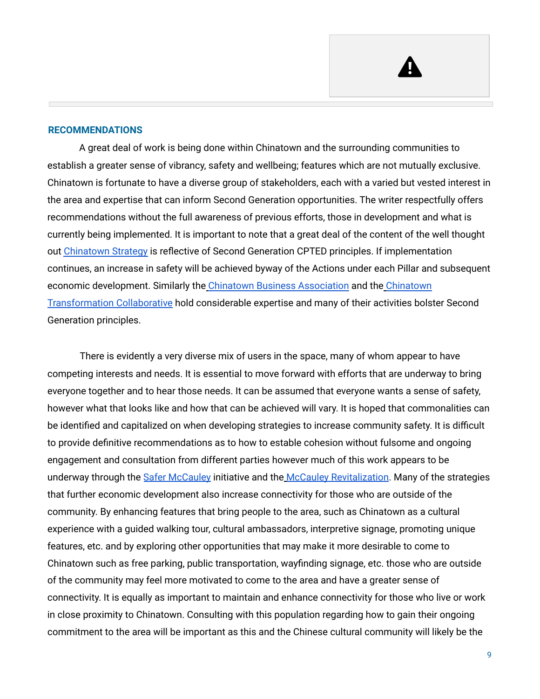#### **RECOMMENDATIONS**

A great deal of work is being done within Chinatown and the surrounding communities to establish a greater sense of vibrancy, safety and wellbeing; features which are not mutually exclusive. Chinatown is fortunate to have a diverse group of stakeholders, each with a varied but vested interest in the area and expertise that can inform Second Generation opportunities. The writer respectfully offers recommendations without the full awareness of previous efforts, those in development and what is currently being implemented. It is important to note that a great deal of the content of the well thought out Chinatown Strategy is reflective of Second Generation CPTED principles. If implementation continues, an increase in safety will be achieved byway of the Actions under each Pillar and subsequent economic development. Similarly the Chinatown Business Association and the Chinatown Transformation Collaborative hold considerable expertise and many of their activities bolster Second Generation principles.

There is evidently a very diverse mix of users in the space, many of whom appear to have competing interests and needs. It is essential to move forward with efforts that are underway to bring everyone together and to hear those needs. It can be assumed that everyone wants a sense of safety, however what that looks like and how that can be achieved will vary. It is hoped that commonalities can be identified and capitalized on when developing strategies to increase community safety. It is difficult to provide definitive recommendations as to how to estable cohesion without fulsome and ongoing engagement and consultation from different parties however much of this work appears to be underway through the Safer McCauley initiative and the McCauley Revitalization. Many of the strategies that further economic development also increase connectivity for those who are outside of the community. By enhancing features that bring people to the area, such as Chinatown as a cultural experience with a guided walking tour, cultural ambassadors, interpretive signage, promoting unique features, etc. and by exploring other opportunities that may make it more desirable to come to Chinatown such as free parking, public transportation, wayfinding signage, etc. those who are outside of the community may feel more motivated to come to the area and have a greater sense of connectivity. It is equally as important to maintain and enhance connectivity for those who live or work in close proximity to Chinatown. Consulting with this population regarding how to gain their ongoing commitment to the area will be important as this and the Chinese cultural community will likely be the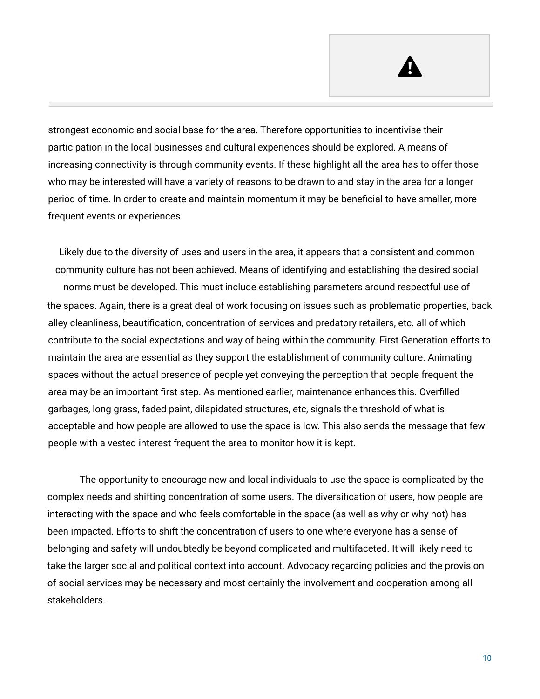strongest economic and social base for the area. Therefore opportunities to incentivise their participation in the local businesses and cultural experiences should be explored. A means of increasing connectivity is through community events. If these highlight all the area has to offer those who may be interested will have a variety of reasons to be drawn to and stay in the area for a longer period of time. In order to create and maintain momentum it may be beneficial to have smaller, more frequent events or experiences.

Likely due to the diversity of uses and users in the area, it appears that a consistent and common community culture has not been achieved. Means of identifying and establishing the desired social norms must be developed. This must include establishing parameters around respectful use of the spaces. Again, there is a great deal of work focusing on issues such as problematic properties, back alley cleanliness, beautification, concentration of services and predatory retailers, etc. all of which contribute to the social expectations and way of being within the community. First Generation efforts to maintain the area are essential as they support the establishment of community culture. Animating spaces without the actual presence of people yet conveying the perception that people frequent the area may be an important first step. As mentioned earlier, maintenance enhances this. Overfilled garbages, long grass, faded paint, dilapidated structures, etc, signals the threshold of what is acceptable and how people are allowed to use the space is low. This also sends the message that few people with a vested interest frequent the area to monitor how it is kept.

The opportunity to encourage new and local individuals to use the space is complicated by the complex needs and shifting concentration of some users. The diversification of users, how people are interacting with the space and who feels comfortable in the space (as well as why or why not) has been impacted. Efforts to shift the concentration of users to one where everyone has a sense of belonging and safety will undoubtedly be beyond complicated and multifaceted. It will likely need to take the larger social and political context into account. Advocacy regarding policies and the provision of social services may be necessary and most certainly the involvement and cooperation among all stakeholders.